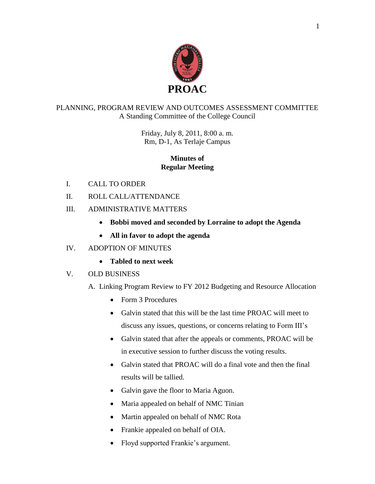

### PLANNING, PROGRAM REVIEW AND OUTCOMES ASSESSMENT COMMITTEE A Standing Committee of the College Council

Friday, July 8, 2011, 8:00 a. m. Rm, D-1, As Terlaje Campus

### **Minutes of Regular Meeting**

- I. CALL TO ORDER
- II. ROLL CALL/ATTENDANCE
- III. ADMINISTRATIVE MATTERS
	- **Bobbi moved and seconded by Lorraine to adopt the Agenda**
	- **All in favor to adopt the agenda**

## IV. ADOPTION OF MINUTES

**Tabled to next week**

#### V. OLD BUSINESS

- A. Linking Program Review to FY 2012 Budgeting and Resource Allocation
	- Form 3 Procedures
	- Galvin stated that this will be the last time PROAC will meet to discuss any issues, questions, or concerns relating to Form III's
	- Galvin stated that after the appeals or comments, PROAC will be in executive session to further discuss the voting results.
	- Galvin stated that PROAC will do a final vote and then the final results will be tallied.
	- Galvin gave the floor to Maria Aguon.
	- Maria appealed on behalf of NMC Tinian
	- Martin appealed on behalf of NMC Rota
	- Frankie appealed on behalf of OIA.
	- Floyd supported Frankie's argument.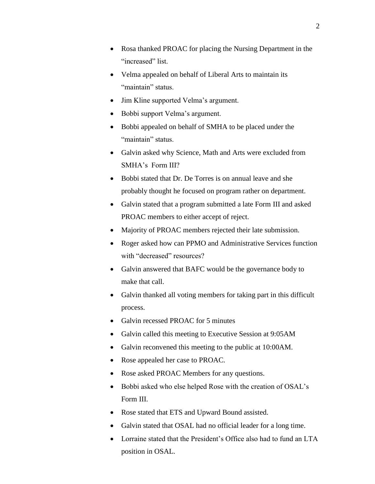- Rosa thanked PROAC for placing the Nursing Department in the "increased" list.
- Velma appealed on behalf of Liberal Arts to maintain its "maintain" status.
- Jim Kline supported Velma's argument.
- Bobbi support Velma's argument.
- Bobbi appealed on behalf of SMHA to be placed under the "maintain" status.
- Galvin asked why Science, Math and Arts were excluded from SMHA's Form III?
- Bobbi stated that Dr. De Torres is on annual leave and she probably thought he focused on program rather on department.
- Galvin stated that a program submitted a late Form III and asked PROAC members to either accept of reject.
- Majority of PROAC members rejected their late submission.
- Roger asked how can PPMO and Administrative Services function with "decreased" resources?
- Galvin answered that BAFC would be the governance body to make that call.
- Galvin thanked all voting members for taking part in this difficult process.
- Galvin recessed PROAC for 5 minutes
- Galvin called this meeting to Executive Session at 9:05AM
- Galvin reconvened this meeting to the public at 10:00 AM.
- Rose appealed her case to PROAC.
- Rose asked PROAC Members for any questions.
- Bobbi asked who else helped Rose with the creation of OSAL's Form III.
- Rose stated that ETS and Upward Bound assisted.
- Galvin stated that OSAL had no official leader for a long time.
- Lorraine stated that the President's Office also had to fund an LTA position in OSAL.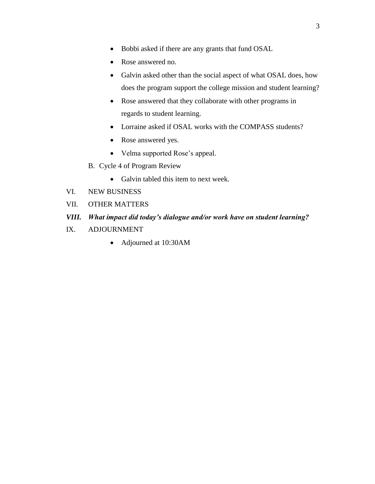- Bobbi asked if there are any grants that fund OSAL
- Rose answered no.
- Galvin asked other than the social aspect of what OSAL does, how does the program support the college mission and student learning?
- Rose answered that they collaborate with other programs in regards to student learning.
- Lorraine asked if OSAL works with the COMPASS students?
- Rose answered yes.
- Velma supported Rose's appeal.
- B. Cycle 4 of Program Review
	- Galvin tabled this item to next week.
- VI. NEW BUSINESS
- VII. OTHER MATTERS

#### *VIII. What impact did today's dialogue and/or work have on student learning?*

- IX. ADJOURNMENT
	- Adjourned at 10:30AM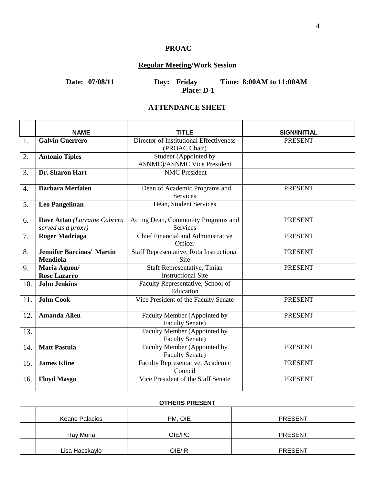## **PROAC**

# **Regular Meeting/Work Session**

**Date: 07/08/11 Day: Friday Time: 8:00AM to 11:00AM Place: D-1**

#### **ATTENDANCE SHEET**

|     | <b>NAME</b>                                         | TITLE                                                            | <b>SIGN/INITIAL</b> |  |  |
|-----|-----------------------------------------------------|------------------------------------------------------------------|---------------------|--|--|
| 1.  | <b>Galvin Guerrero</b>                              | Director of Institutional Effectiveness<br>(PROAC Chair)         | <b>PRESENT</b>      |  |  |
| 2.  | <b>Antonio Tiples</b>                               | Student (Appointed by<br><b>ASNMC</b> )/ASNMC Vice President     |                     |  |  |
| 3.  | Dr. Sharon Hart                                     | <b>NMC</b> President                                             |                     |  |  |
| 4.  | <b>Barbara Merfalen</b>                             | Dean of Academic Programs and<br><b>Services</b>                 | <b>PRESENT</b>      |  |  |
| 5.  | <b>Leo Pangelinan</b>                               | Dean, Student Services                                           |                     |  |  |
| 6.  | Dave Attao (Lorraine Cabrera<br>served as a proxy)  | Acting Dean, Community Programs and<br>Services                  | <b>PRESENT</b>      |  |  |
| 7.  | <b>Roger Madriaga</b>                               | Chief Financial and Administrative<br>Officer                    | <b>PRESENT</b>      |  |  |
| 8.  | <b>Jennifer Barcinas/ Martin</b><br><b>Mendiola</b> | Staff Representative, Rota Instructional<br><b>Site</b>          | <b>PRESENT</b>      |  |  |
| 9.  | Maria Aguon/<br><b>Rose Lazarro</b>                 | <b>Staff Representative, Tinian</b><br><b>Instructional Site</b> | <b>PRESENT</b>      |  |  |
| 10. | <b>John Jenkins</b>                                 | Faculty Representative, School of<br>Education                   |                     |  |  |
| 11. | <b>John Cook</b>                                    | Vice President of the Faculty Senate                             | <b>PRESENT</b>      |  |  |
| 12. | <b>Amanda Allen</b>                                 | Faculty Member (Appointed by<br><b>Faculty Senate)</b>           | <b>PRESENT</b>      |  |  |
| 13. |                                                     | Faculty Member (Appointed by<br><b>Faculty Senate)</b>           |                     |  |  |
| 14. | <b>Matt Pastula</b>                                 | Faculty Member (Appointed by<br><b>Faculty Senate)</b>           | <b>PRESENT</b>      |  |  |
| 15. | <b>James Kline</b>                                  | Faculty Representative, Academic<br>Council                      | <b>PRESENT</b>      |  |  |
| 16. | <b>Floyd Masga</b>                                  | Vice President of the Staff Senate                               | <b>PRESENT</b>      |  |  |
|     | <b>OTHERS PRESENT</b>                               |                                                                  |                     |  |  |
|     | Keane Palacios                                      | PM, OIE                                                          | <b>PRESENT</b>      |  |  |
|     | Ray Muna                                            | OIE/PC                                                           | <b>PRESENT</b>      |  |  |
|     | Lisa Hacskaylo                                      | OIE/IR                                                           | <b>PRESENT</b>      |  |  |